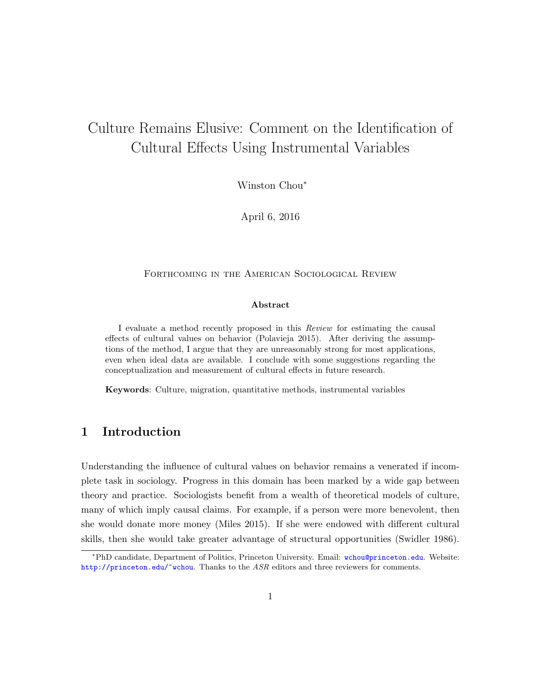# <span id="page-0-0"></span>Culture Remains Elusive: Comment on the Identification of Cultural Effects Using Instrumental Variables

Winston Chou<sup>∗</sup>

April 6, 2016

#### FORTHCOMING IN THE AMERICAN SOCIOLOGICAL REVIEW

#### Abstract

I evaluate a method recently proposed in this Review for estimating the causal effects of cultural values on behavior (Polavieja 2015). After deriving the assumptions of the method, I argue that they are unreasonably strong for most applications, even when ideal data are available. I conclude with some suggestions regarding the conceptualization and measurement of cultural effects in future research.

Keywords: Culture, migration, quantitative methods, instrumental variables

### 1 Introduction

Understanding the influence of cultural values on behavior remains a venerated if incomplete task in sociology. Progress in this domain has been marked by a wide gap between theory and practice. Sociologists benefit from a wealth of theoretical models of culture, many of which imply causal claims. For example, if a person were more benevolent, then she would donate more money (Miles 2015). If she were endowed with different cultural skills, then she would take greater advantage of structural opportunities (Swidler 1986).

<sup>∗</sup>PhD candidate, Department of Politics, Princeton University. Email: [wchou@princeton.edu](mailto:wchou@princeton.edu). Website: [http://princeton.edu/~wchou](http://princeton.edu/\protect \unhbox \voidb@x \penalty \@M \ {}wchou). Thanks to the ASR editors and three reviewers for comments.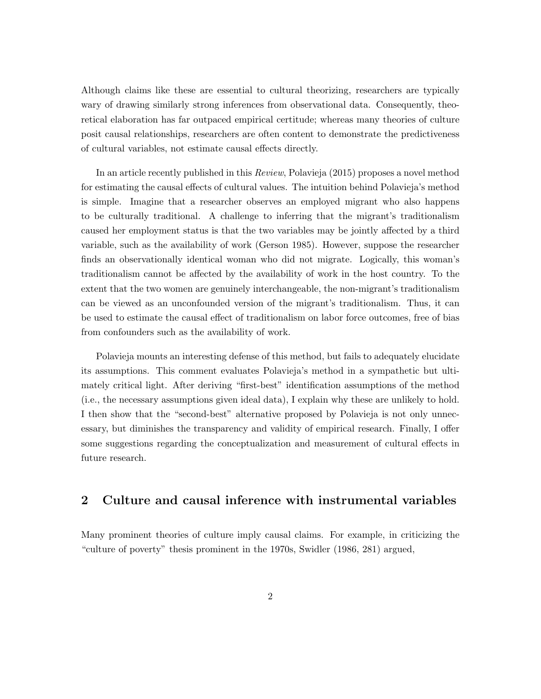Although claims like these are essential to cultural theorizing, researchers are typically wary of drawing similarly strong inferences from observational data. Consequently, theoretical elaboration has far outpaced empirical certitude; whereas many theories of culture posit causal relationships, researchers are often content to demonstrate the predictiveness of cultural variables, not estimate causal effects directly.

In an article recently published in this Review, Polavieja (2015) proposes a novel method for estimating the causal effects of cultural values. The intuition behind Polavieja's method is simple. Imagine that a researcher observes an employed migrant who also happens to be culturally traditional. A challenge to inferring that the migrant's traditionalism caused her employment status is that the two variables may be jointly affected by a third variable, such as the availability of work (Gerson 1985). However, suppose the researcher finds an observationally identical woman who did not migrate. Logically, this woman's traditionalism cannot be affected by the availability of work in the host country. To the extent that the two women are genuinely interchangeable, the non-migrant's traditionalism can be viewed as an unconfounded version of the migrant's traditionalism. Thus, it can be used to estimate the causal effect of traditionalism on labor force outcomes, free of bias from confounders such as the availability of work.

Polavieja mounts an interesting defense of this method, but fails to adequately elucidate its assumptions. This comment evaluates Polavieja's method in a sympathetic but ultimately critical light. After deriving "first-best" identification assumptions of the method (i.e., the necessary assumptions given ideal data), I explain why these are unlikely to hold. I then show that the "second-best" alternative proposed by Polavieja is not only unnecessary, but diminishes the transparency and validity of empirical research. Finally, I offer some suggestions regarding the conceptualization and measurement of cultural effects in future research.

# 2 Culture and causal inference with instrumental variables

Many prominent theories of culture imply causal claims. For example, in criticizing the "culture of poverty" thesis prominent in the 1970s, Swidler (1986, 281) argued,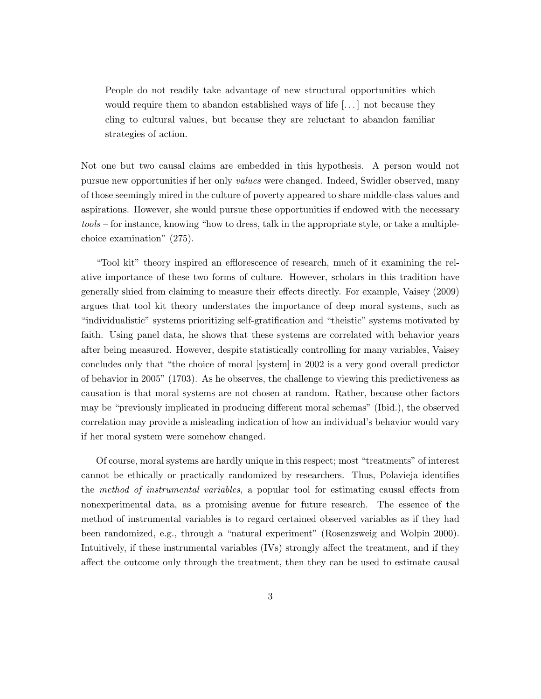People do not readily take advantage of new structural opportunities which would require them to abandon established ways of life [...] not because they cling to cultural values, but because they are reluctant to abandon familiar strategies of action.

Not one but two causal claims are embedded in this hypothesis. A person would not pursue new opportunities if her only values were changed. Indeed, Swidler observed, many of those seemingly mired in the culture of poverty appeared to share middle-class values and aspirations. However, she would pursue these opportunities if endowed with the necessary tools – for instance, knowing "how to dress, talk in the appropriate style, or take a multiplechoice examination" (275).

"Tool kit" theory inspired an efflorescence of research, much of it examining the relative importance of these two forms of culture. However, scholars in this tradition have generally shied from claiming to measure their effects directly. For example, Vaisey (2009) argues that tool kit theory understates the importance of deep moral systems, such as "individualistic" systems prioritizing self-gratification and "theistic" systems motivated by faith. Using panel data, he shows that these systems are correlated with behavior years after being measured. However, despite statistically controlling for many variables, Vaisey concludes only that "the choice of moral [system] in 2002 is a very good overall predictor of behavior in 2005" (1703). As he observes, the challenge to viewing this predictiveness as causation is that moral systems are not chosen at random. Rather, because other factors may be "previously implicated in producing different moral schemas" (Ibid.), the observed correlation may provide a misleading indication of how an individual's behavior would vary if her moral system were somehow changed.

Of course, moral systems are hardly unique in this respect; most "treatments" of interest cannot be ethically or practically randomized by researchers. Thus, Polavieja identifies the method of instrumental variables, a popular tool for estimating causal effects from nonexperimental data, as a promising avenue for future research. The essence of the method of instrumental variables is to regard certained observed variables as if they had been randomized, e.g., through a "natural experiment" (Rosenzsweig and Wolpin 2000). Intuitively, if these instrumental variables (IVs) strongly affect the treatment, and if they affect the outcome only through the treatment, then they can be used to estimate causal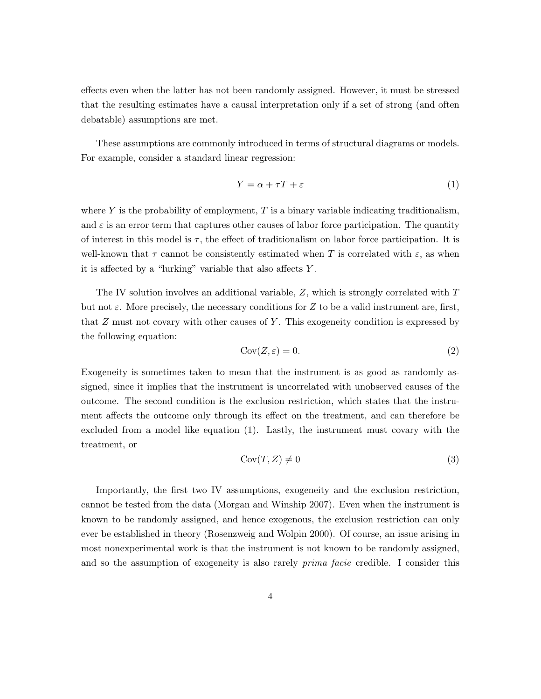effects even when the latter has not been randomly assigned. However, it must be stressed that the resulting estimates have a causal interpretation only if a set of strong (and often debatable) assumptions are met.

These assumptions are commonly introduced in terms of structural diagrams or models. For example, consider a standard linear regression:

$$
Y = \alpha + \tau T + \varepsilon \tag{1}
$$

where Y is the probability of employment,  $T$  is a binary variable indicating traditionalism, and  $\varepsilon$  is an error term that captures other causes of labor force participation. The quantity of interest in this model is  $\tau$ , the effect of traditionalism on labor force participation. It is well-known that  $\tau$  cannot be consistently estimated when T is correlated with  $\varepsilon$ , as when it is affected by a "lurking" variable that also affects  $Y$ .

The IV solution involves an additional variable, Z, which is strongly correlated with T but not  $\varepsilon$ . More precisely, the necessary conditions for Z to be a valid instrument are, first, that Z must not covary with other causes of Y . This exogeneity condition is expressed by the following equation:

$$
Cov(Z, \varepsilon) = 0. \tag{2}
$$

Exogeneity is sometimes taken to mean that the instrument is as good as randomly assigned, since it implies that the instrument is uncorrelated with unobserved causes of the outcome. The second condition is the exclusion restriction, which states that the instrument affects the outcome only through its effect on the treatment, and can therefore be excluded from a model like equation (1). Lastly, the instrument must covary with the treatment, or

$$
Cov(T, Z) \neq 0 \tag{3}
$$

Importantly, the first two IV assumptions, exogeneity and the exclusion restriction, cannot be tested from the data (Morgan and Winship 2007). Even when the instrument is known to be randomly assigned, and hence exogenous, the exclusion restriction can only ever be established in theory (Rosenzweig and Wolpin 2000). Of course, an issue arising in most nonexperimental work is that the instrument is not known to be randomly assigned, and so the assumption of exogeneity is also rarely *prima facie* credible. I consider this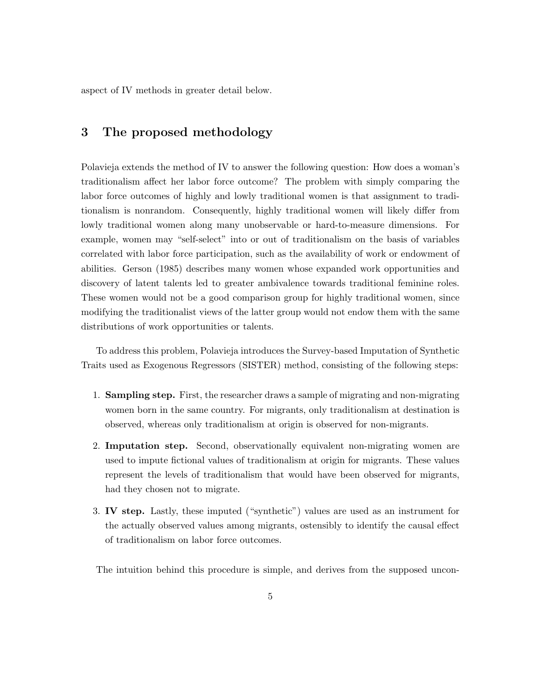aspect of IV methods in greater detail below.

### 3 The proposed methodology

Polavieja extends the method of IV to answer the following question: How does a woman's traditionalism affect her labor force outcome? The problem with simply comparing the labor force outcomes of highly and lowly traditional women is that assignment to traditionalism is nonrandom. Consequently, highly traditional women will likely differ from lowly traditional women along many unobservable or hard-to-measure dimensions. For example, women may "self-select" into or out of traditionalism on the basis of variables correlated with labor force participation, such as the availability of work or endowment of abilities. Gerson (1985) describes many women whose expanded work opportunities and discovery of latent talents led to greater ambivalence towards traditional feminine roles. These women would not be a good comparison group for highly traditional women, since modifying the traditionalist views of the latter group would not endow them with the same distributions of work opportunities or talents.

To address this problem, Polavieja introduces the Survey-based Imputation of Synthetic Traits used as Exogenous Regressors (SISTER) method, consisting of the following steps:

- 1. Sampling step. First, the researcher draws a sample of migrating and non-migrating women born in the same country. For migrants, only traditionalism at destination is observed, whereas only traditionalism at origin is observed for non-migrants.
- 2. Imputation step. Second, observationally equivalent non-migrating women are used to impute fictional values of traditionalism at origin for migrants. These values represent the levels of traditionalism that would have been observed for migrants, had they chosen not to migrate.
- 3. IV step. Lastly, these imputed ("synthetic") values are used as an instrument for the actually observed values among migrants, ostensibly to identify the causal effect of traditionalism on labor force outcomes.

The intuition behind this procedure is simple, and derives from the supposed uncon-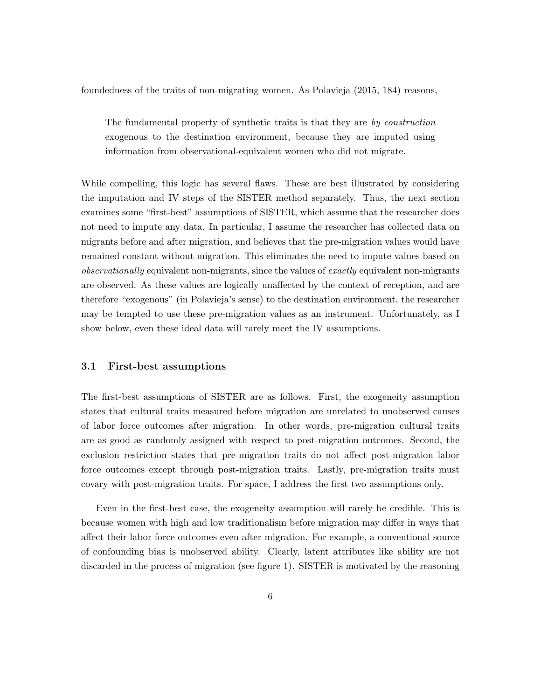foundedness of the traits of non-migrating women. As Polavieja (2015, 184) reasons,

The fundamental property of synthetic traits is that they are by construction exogenous to the destination environment, because they are imputed using information from observational-equivalent women who did not migrate.

While compelling, this logic has several flaws. These are best illustrated by considering the imputation and IV steps of the SISTER method separately. Thus, the next section examines some "first-best" assumptions of SISTER, which assume that the researcher does not need to impute any data. In particular, I assume the researcher has collected data on migrants before and after migration, and believes that the pre-migration values would have remained constant without migration. This eliminates the need to impute values based on observationally equivalent non-migrants, since the values of exactly equivalent non-migrants are observed. As these values are logically unaffected by the context of reception, and are therefore "exogenous" (in Polavieja's sense) to the destination environment, the researcher may be tempted to use these pre-migration values as an instrument. Unfortunately, as I show below, even these ideal data will rarely meet the IV assumptions.

#### 3.1 First-best assumptions

The first-best assumptions of SISTER are as follows. First, the exogeneity assumption states that cultural traits measured before migration are unrelated to unobserved causes of labor force outcomes after migration. In other words, pre-migration cultural traits are as good as randomly assigned with respect to post-migration outcomes. Second, the exclusion restriction states that pre-migration traits do not affect post-migration labor force outcomes except through post-migration traits. Lastly, pre-migration traits must covary with post-migration traits. For space, I address the first two assumptions only.

Even in the first-best case, the exogeneity assumption will rarely be credible. This is because women with high and low traditionalism before migration may differ in ways that affect their labor force outcomes even after migration. For example, a conventional source of confounding bias is unobserved ability. Clearly, latent attributes like ability are not discarded in the process of migration (see figure 1). SISTER is motivated by the reasoning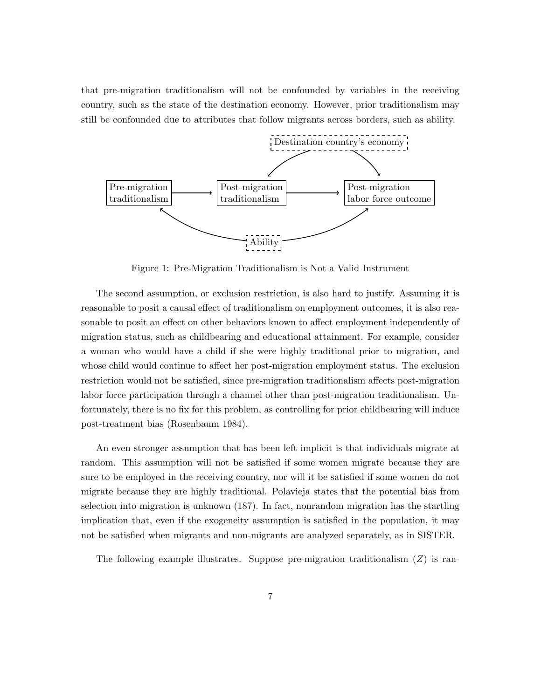that pre-migration traditionalism will not be confounded by variables in the receiving country, such as the state of the destination economy. However, prior traditionalism may still be confounded due to attributes that follow migrants across borders, such as ability.



Figure 1: Pre-Migration Traditionalism is Not a Valid Instrument

The second assumption, or exclusion restriction, is also hard to justify. Assuming it is reasonable to posit a causal effect of traditionalism on employment outcomes, it is also reasonable to posit an effect on other behaviors known to affect employment independently of migration status, such as childbearing and educational attainment. For example, consider a woman who would have a child if she were highly traditional prior to migration, and whose child would continue to affect her post-migration employment status. The exclusion restriction would not be satisfied, since pre-migration traditionalism affects post-migration labor force participation through a channel other than post-migration traditionalism. Unfortunately, there is no fix for this problem, as controlling for prior childbearing will induce post-treatment bias (Rosenbaum 1984).

An even stronger assumption that has been left implicit is that individuals migrate at random. This assumption will not be satisfied if some women migrate because they are sure to be employed in the receiving country, nor will it be satisfied if some women do not migrate because they are highly traditional. Polavieja states that the potential bias from selection into migration is unknown (187). In fact, nonrandom migration has the startling implication that, even if the exogeneity assumption is satisfied in the population, it may not be satisfied when migrants and non-migrants are analyzed separately, as in SISTER.

The following example illustrates. Suppose pre-migration traditionalism  $(Z)$  is ran-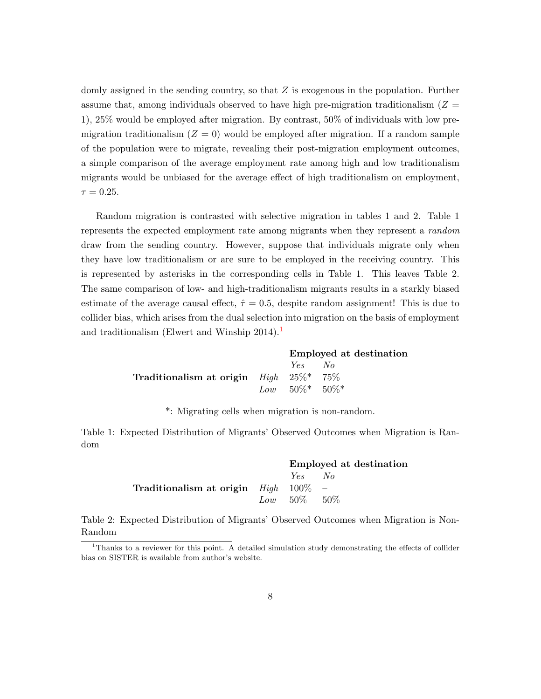domly assigned in the sending country, so that  $Z$  is exogenous in the population. Further assume that, among individuals observed to have high pre-migration traditionalism  $(Z =$ 1), 25% would be employed after migration. By contrast, 50% of individuals with low premigration traditionalism  $(Z = 0)$  would be employed after migration. If a random sample of the population were to migrate, revealing their post-migration employment outcomes, a simple comparison of the average employment rate among high and low traditionalism migrants would be unbiased for the average effect of high traditionalism on employment,  $\tau = 0.25$ .

Random migration is contrasted with selective migration in tables 1 and 2. Table 1 represents the expected employment rate among migrants when they represent a random draw from the sending country. However, suppose that individuals migrate only when they have low traditionalism or are sure to be employed in the receiving country. This is represented by asterisks in the corresponding cells in Table 1. This leaves Table 2. The same comparison of low- and high-traditionalism migrants results in a starkly biased estimate of the average causal effect,  $\hat{\tau} = 0.5$ , despite random assignment! This is due to collider bias, which arises from the dual selection into migration on the basis of employment and traditionalism (Elwert and Winship  $2014$  $2014$  $2014$ ).<sup>1</sup>

|                                                         | Employed at destination |  |
|---------------------------------------------------------|-------------------------|--|
|                                                         | Yes No                  |  |
| Traditionalism at origin $High \quad 25\%^* \quad 75\%$ |                         |  |
|                                                         | $Low = 50\%* = 50\%*$   |  |

\*: Migrating cells when migration is non-random.

Table 1: Expected Distribution of Migrants' Observed Outcomes when Migration is Random

|                                                      | Employed at destination |  |
|------------------------------------------------------|-------------------------|--|
|                                                      | Yes No                  |  |
| <b>Traditionalism at origin</b> $High \quad 100\%$ – |                         |  |
|                                                      | $Low = 50\% = 50\%$     |  |

Table 2: Expected Distribution of Migrants' Observed Outcomes when Migration is Non-Random

<sup>&</sup>lt;sup>1</sup>Thanks to a reviewer for this point. A detailed simulation study demonstrating the effects of collider bias on SISTER is available from author's website.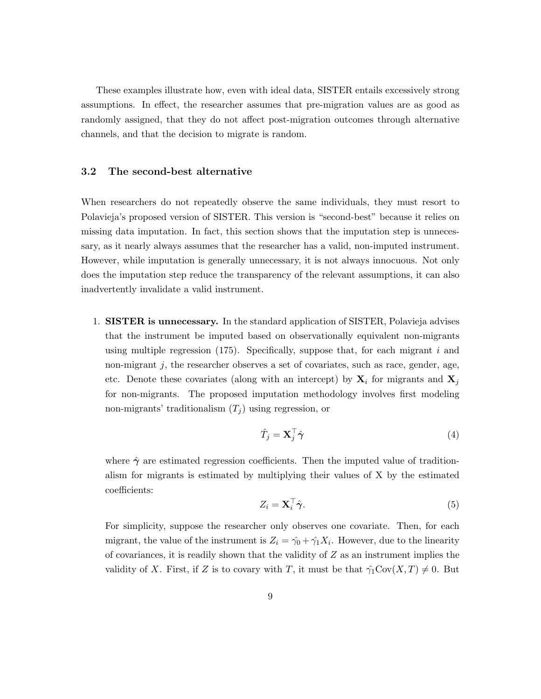These examples illustrate how, even with ideal data, SISTER entails excessively strong assumptions. In effect, the researcher assumes that pre-migration values are as good as randomly assigned, that they do not affect post-migration outcomes through alternative channels, and that the decision to migrate is random.

### 3.2 The second-best alternative

When researchers do not repeatedly observe the same individuals, they must resort to Polavieja's proposed version of SISTER. This version is "second-best" because it relies on missing data imputation. In fact, this section shows that the imputation step is unnecessary, as it nearly always assumes that the researcher has a valid, non-imputed instrument. However, while imputation is generally unnecessary, it is not always innocuous. Not only does the imputation step reduce the transparency of the relevant assumptions, it can also inadvertently invalidate a valid instrument.

1. **SISTER** is unnecessary. In the standard application of SISTER, Polavieja advises that the instrument be imputed based on observationally equivalent non-migrants using multiple regression (175). Specifically, suppose that, for each migrant  $i$  and non-migrant  $j$ , the researcher observes a set of covariates, such as race, gender, age, etc. Denote these covariates (along with an intercept) by  $X_i$  for migrants and  $X_j$ for non-migrants. The proposed imputation methodology involves first modeling non-migrants' traditionalism  $(T_i)$  using regression, or

$$
\hat{T}_j = \mathbf{X}_j^\top \hat{\boldsymbol{\gamma}} \tag{4}
$$

where  $\hat{\gamma}$  are estimated regression coefficients. Then the imputed value of traditionalism for migrants is estimated by multiplying their values of X by the estimated coefficients:

$$
Z_i = \mathbf{X}_i^{\top} \hat{\boldsymbol{\gamma}}.\tag{5}
$$

For simplicity, suppose the researcher only observes one covariate. Then, for each migrant, the value of the instrument is  $Z_i = \hat{\gamma}_0 + \hat{\gamma}_1 X_i$ . However, due to the linearity of covariances, it is readily shown that the validity of  $Z$  as an instrument implies the validity of X. First, if Z is to covary with T, it must be that  $\hat{\gamma}_1 \text{Cov}(X,T) \neq 0$ . But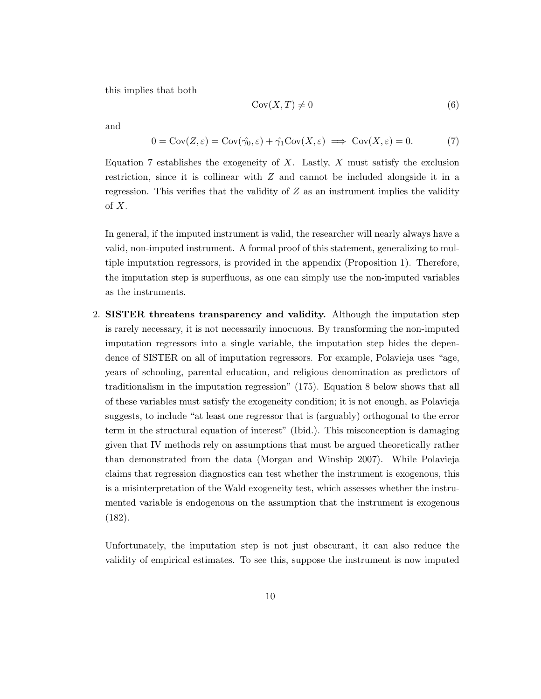this implies that both

$$
Cov(X, T) \neq 0 \tag{6}
$$

and

$$
0 = \text{Cov}(Z, \varepsilon) = \text{Cov}(\hat{\gamma}_0, \varepsilon) + \hat{\gamma}_1 \text{Cov}(X, \varepsilon) \implies \text{Cov}(X, \varepsilon) = 0. \tag{7}
$$

Equation 7 establishes the exogeneity of  $X$ . Lastly,  $X$  must satisfy the exclusion restriction, since it is collinear with Z and cannot be included alongside it in a regression. This verifies that the validity of  $Z$  as an instrument implies the validity of X.

In general, if the imputed instrument is valid, the researcher will nearly always have a valid, non-imputed instrument. A formal proof of this statement, generalizing to multiple imputation regressors, is provided in the appendix (Proposition 1). Therefore, the imputation step is superfluous, as one can simply use the non-imputed variables as the instruments.

2. SISTER threatens transparency and validity. Although the imputation step is rarely necessary, it is not necessarily innocuous. By transforming the non-imputed imputation regressors into a single variable, the imputation step hides the dependence of SISTER on all of imputation regressors. For example, Polavieja uses "age, years of schooling, parental education, and religious denomination as predictors of traditionalism in the imputation regression" (175). Equation 8 below shows that all of these variables must satisfy the exogeneity condition; it is not enough, as Polavieja suggests, to include "at least one regressor that is (arguably) orthogonal to the error term in the structural equation of interest" (Ibid.). This misconception is damaging given that IV methods rely on assumptions that must be argued theoretically rather than demonstrated from the data (Morgan and Winship 2007). While Polavieja claims that regression diagnostics can test whether the instrument is exogenous, this is a misinterpretation of the Wald exogeneity test, which assesses whether the instrumented variable is endogenous on the assumption that the instrument is exogenous (182).

Unfortunately, the imputation step is not just obscurant, it can also reduce the validity of empirical estimates. To see this, suppose the instrument is now imputed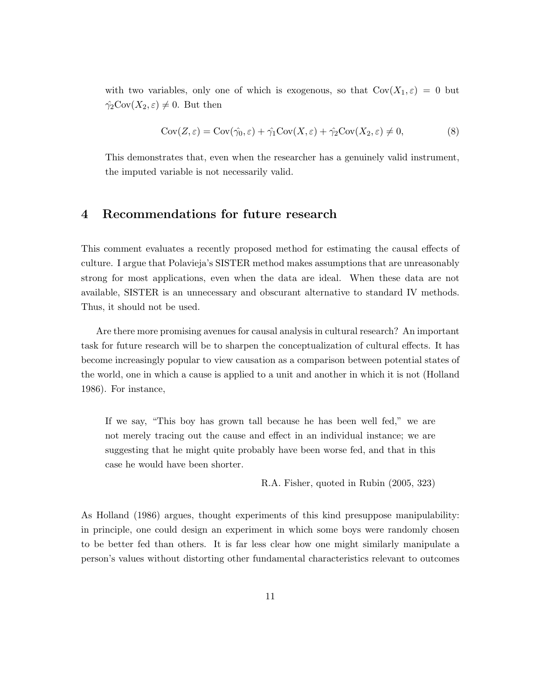with two variables, only one of which is exogenous, so that  $Cov(X_1, \varepsilon) = 0$  but  $\hat{\gamma_2} \text{Cov}(X_2, \varepsilon) \neq 0$ . But then

$$
Cov(Z, \varepsilon) = Cov(\hat{\gamma_0}, \varepsilon) + \hat{\gamma_1} Cov(X, \varepsilon) + \hat{\gamma_2} Cov(X_2, \varepsilon) \neq 0,
$$
\n(8)

This demonstrates that, even when the researcher has a genuinely valid instrument, the imputed variable is not necessarily valid.

### 4 Recommendations for future research

This comment evaluates a recently proposed method for estimating the causal effects of culture. I argue that Polavieja's SISTER method makes assumptions that are unreasonably strong for most applications, even when the data are ideal. When these data are not available, SISTER is an unnecessary and obscurant alternative to standard IV methods. Thus, it should not be used.

Are there more promising avenues for causal analysis in cultural research? An important task for future research will be to sharpen the conceptualization of cultural effects. It has become increasingly popular to view causation as a comparison between potential states of the world, one in which a cause is applied to a unit and another in which it is not (Holland 1986). For instance,

If we say, "This boy has grown tall because he has been well fed," we are not merely tracing out the cause and effect in an individual instance; we are suggesting that he might quite probably have been worse fed, and that in this case he would have been shorter.

R.A. Fisher, quoted in Rubin (2005, 323)

As Holland (1986) argues, thought experiments of this kind presuppose manipulability: in principle, one could design an experiment in which some boys were randomly chosen to be better fed than others. It is far less clear how one might similarly manipulate a person's values without distorting other fundamental characteristics relevant to outcomes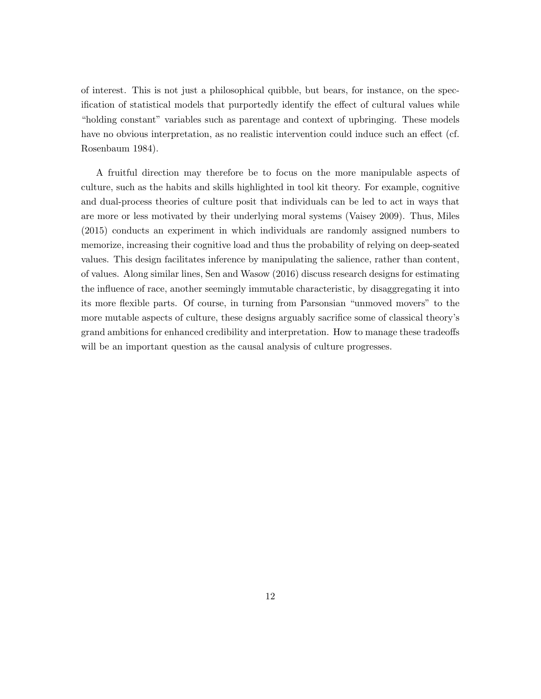of interest. This is not just a philosophical quibble, but bears, for instance, on the specification of statistical models that purportedly identify the effect of cultural values while "holding constant" variables such as parentage and context of upbringing. These models have no obvious interpretation, as no realistic intervention could induce such an effect (cf. Rosenbaum 1984).

A fruitful direction may therefore be to focus on the more manipulable aspects of culture, such as the habits and skills highlighted in tool kit theory. For example, cognitive and dual-process theories of culture posit that individuals can be led to act in ways that are more or less motivated by their underlying moral systems (Vaisey 2009). Thus, Miles (2015) conducts an experiment in which individuals are randomly assigned numbers to memorize, increasing their cognitive load and thus the probability of relying on deep-seated values. This design facilitates inference by manipulating the salience, rather than content, of values. Along similar lines, Sen and Wasow (2016) discuss research designs for estimating the influence of race, another seemingly immutable characteristic, by disaggregating it into its more flexible parts. Of course, in turning from Parsonsian "unmoved movers" to the more mutable aspects of culture, these designs arguably sacrifice some of classical theory's grand ambitions for enhanced credibility and interpretation. How to manage these tradeoffs will be an important question as the causal analysis of culture progresses.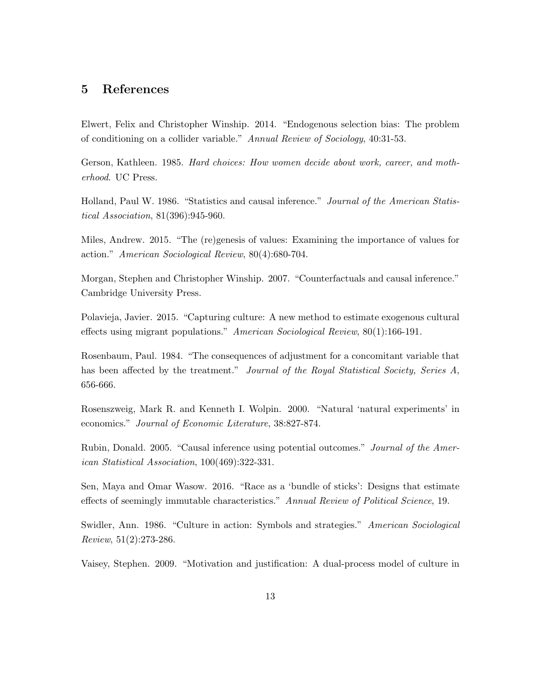### 5 References

Elwert, Felix and Christopher Winship. 2014. "Endogenous selection bias: The problem of conditioning on a collider variable." Annual Review of Sociology, 40:31-53.

Gerson, Kathleen. 1985. Hard choices: How women decide about work, career, and motherhood. UC Press.

Holland, Paul W. 1986. "Statistics and causal inference." Journal of the American Statistical Association, 81(396):945-960.

Miles, Andrew. 2015. "The (re)genesis of values: Examining the importance of values for action." American Sociological Review, 80(4):680-704.

Morgan, Stephen and Christopher Winship. 2007. "Counterfactuals and causal inference." Cambridge University Press.

Polavieja, Javier. 2015. "Capturing culture: A new method to estimate exogenous cultural effects using migrant populations." American Sociological Review, 80(1):166-191.

Rosenbaum, Paul. 1984. "The consequences of adjustment for a concomitant variable that has been affected by the treatment." Journal of the Royal Statistical Society, Series A, 656-666.

Rosenszweig, Mark R. and Kenneth I. Wolpin. 2000. "Natural 'natural experiments' in economics." Journal of Economic Literature, 38:827-874.

Rubin, Donald. 2005. "Causal inference using potential outcomes." Journal of the American Statistical Association, 100(469):322-331.

Sen, Maya and Omar Wasow. 2016. "Race as a 'bundle of sticks': Designs that estimate effects of seemingly immutable characteristics." Annual Review of Political Science, 19.

Swidler, Ann. 1986. "Culture in action: Symbols and strategies." American Sociological Review, 51(2):273-286.

Vaisey, Stephen. 2009. "Motivation and justification: A dual-process model of culture in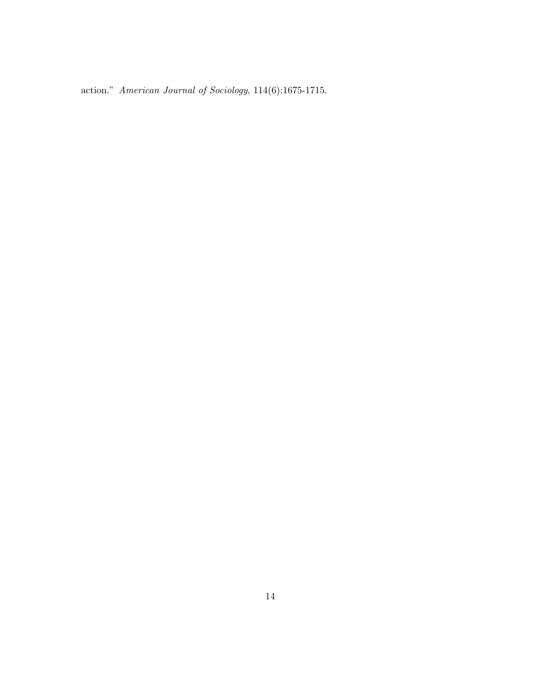action." American Journal of Sociology, 114(6):1675-1715.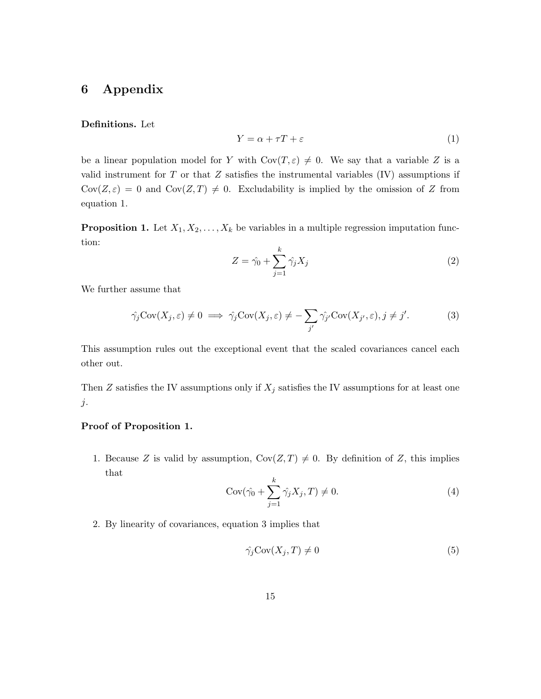# 6 Appendix

### Definitions. Let

$$
Y = \alpha + \tau T + \varepsilon \tag{1}
$$

be a linear population model for Y with  $Cov(T, \varepsilon) \neq 0$ . We say that a variable Z is a valid instrument for  $T$  or that  $Z$  satisfies the instrumental variables  $(IV)$  assumptions if  $Cov(Z, \varepsilon) = 0$  and  $Cov(Z, T) \neq 0$ . Excludability is implied by the omission of Z from equation 1.

**Proposition 1.** Let  $X_1, X_2, \ldots, X_k$  be variables in a multiple regression imputation function:

$$
Z = \hat{\gamma}_0 + \sum_{j=1}^k \hat{\gamma}_j X_j \tag{2}
$$

We further assume that

$$
\hat{\gamma}_j \text{Cov}(X_j, \varepsilon) \neq 0 \implies \hat{\gamma}_j \text{Cov}(X_j, \varepsilon) \neq -\sum_{j'} \hat{\gamma}_{j'} \text{Cov}(X_{j'}, \varepsilon), j \neq j'.
$$
 (3)

This assumption rules out the exceptional event that the scaled covariances cancel each other out.

Then Z satisfies the IV assumptions only if  $X_j$  satisfies the IV assumptions for at least one  $j$ .

### Proof of Proposition 1.

1. Because Z is valid by assumption,  $Cov(Z, T) \neq 0$ . By definition of Z, this implies that

$$
Cov(\hat{\gamma}_0 + \sum_{j=1}^k \hat{\gamma}_j X_j, T) \neq 0.
$$
\n<sup>(4)</sup>

2. By linearity of covariances, equation 3 implies that

$$
\hat{\gamma_j} \text{Cov}(X_j, T) \neq 0 \tag{5}
$$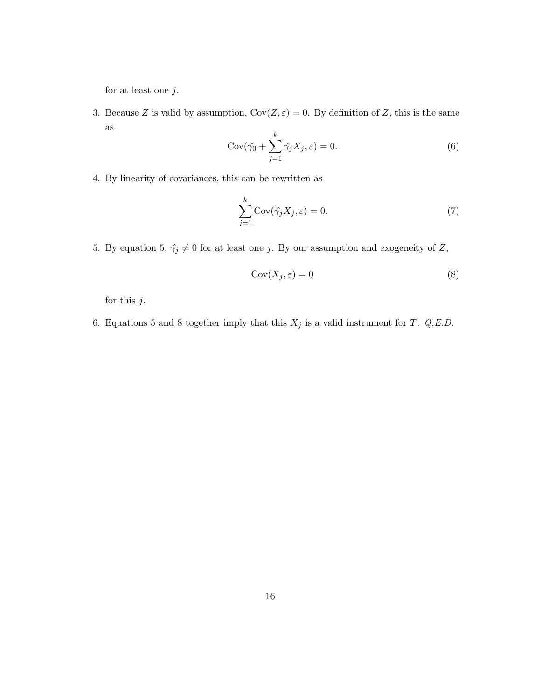for at least one  $j$ .

3. Because Z is valid by assumption,  $Cov(Z, \varepsilon) = 0$ . By definition of Z, this is the same as k

$$
Cov(\hat{\gamma}_0 + \sum_{j=1}^k \hat{\gamma}_j X_j, \varepsilon) = 0.
$$
\n(6)

4. By linearity of covariances, this can be rewritten as

$$
\sum_{j=1}^{k} \text{Cov}(\hat{\gamma_j} X_j, \varepsilon) = 0.
$$
 (7)

5. By equation 5,  $\hat{\gamma_j} \neq 0$  for at least one j. By our assumption and exogeneity of Z,

$$
Cov(X_j, \varepsilon) = 0 \tag{8}
$$

for this  $j$ .

6. Equations 5 and 8 together imply that this  $X_j$  is a valid instrument for T. Q.E.D.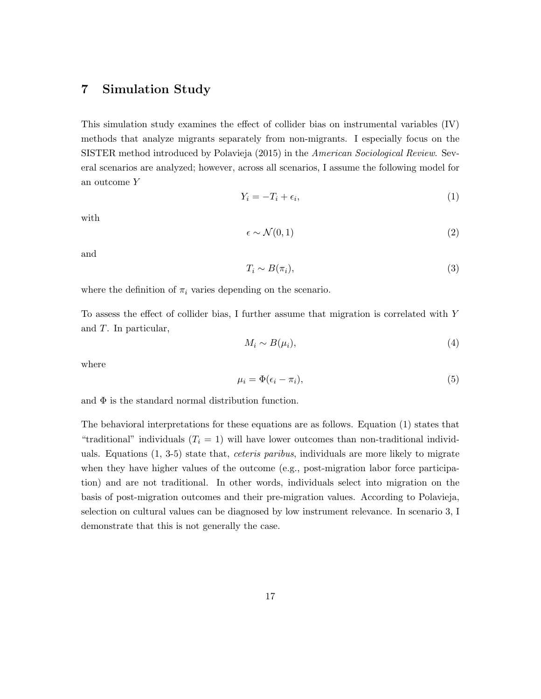# 7 Simulation Study

This simulation study examines the effect of collider bias on instrumental variables (IV) methods that analyze migrants separately from non-migrants. I especially focus on the SISTER method introduced by Polavieja (2015) in the American Sociological Review. Several scenarios are analyzed; however, across all scenarios, I assume the following model for an outcome Y

$$
Y_i = -T_i + \epsilon_i,\tag{1}
$$

with

$$
\epsilon \sim \mathcal{N}(0, 1) \tag{2}
$$

and

$$
T_i \sim B(\pi_i),\tag{3}
$$

where the definition of  $\pi_i$  varies depending on the scenario.

To assess the effect of collider bias, I further assume that migration is correlated with Y and T. In particular,

$$
M_i \sim B(\mu_i),\tag{4}
$$

where

$$
\mu_i = \Phi(\epsilon_i - \pi_i),\tag{5}
$$

and  $\Phi$  is the standard normal distribution function.

The behavioral interpretations for these equations are as follows. Equation (1) states that "traditional" individuals  $(T<sub>i</sub> = 1)$  will have lower outcomes than non-traditional individuals. Equations  $(1, 3-5)$  state that, *ceteris paribus*, individuals are more likely to migrate when they have higher values of the outcome (e.g., post-migration labor force participation) and are not traditional. In other words, individuals select into migration on the basis of post-migration outcomes and their pre-migration values. According to Polavieja, selection on cultural values can be diagnosed by low instrument relevance. In scenario 3, I demonstrate that this is not generally the case.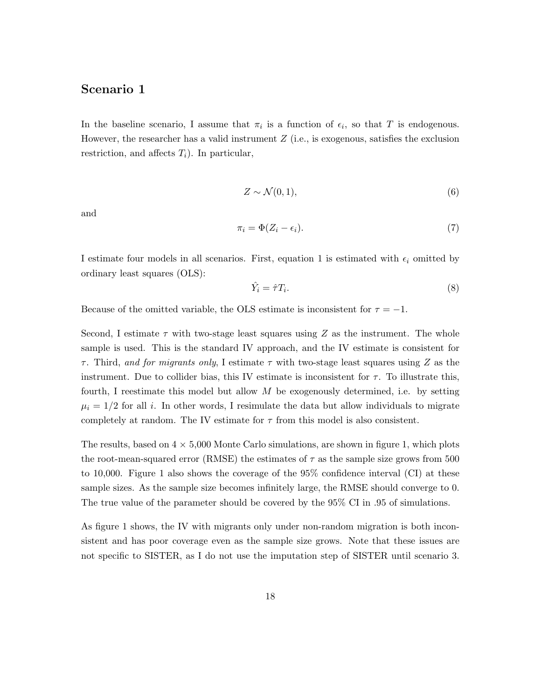### Scenario 1

In the baseline scenario, I assume that  $\pi_i$  is a function of  $\epsilon_i$ , so that T is endogenous. However, the researcher has a valid instrument  $Z$  (i.e., is exogenous, satisfies the exclusion restriction, and affects  $T_i$ ). In particular,

$$
Z \sim \mathcal{N}(0, 1),\tag{6}
$$

and

$$
\pi_i = \Phi(Z_i - \epsilon_i). \tag{7}
$$

I estimate four models in all scenarios. First, equation 1 is estimated with  $\epsilon_i$  omitted by ordinary least squares (OLS):

$$
\hat{Y}_i = \hat{\tau} T_i. \tag{8}
$$

Because of the omitted variable, the OLS estimate is inconsistent for  $\tau = -1$ .

Second, I estimate  $\tau$  with two-stage least squares using Z as the instrument. The whole sample is used. This is the standard IV approach, and the IV estimate is consistent for  $\tau$ . Third, and for migrants only, I estimate  $\tau$  with two-stage least squares using Z as the instrument. Due to collider bias, this IV estimate is inconsistent for  $\tau$ . To illustrate this, fourth, I reestimate this model but allow  $M$  be exogenously determined, i.e. by setting  $\mu_i = 1/2$  for all i. In other words, I resimulate the data but allow individuals to migrate completely at random. The IV estimate for  $\tau$  from this model is also consistent.

The results, based on  $4 \times 5{,}000$  Monte Carlo simulations, are shown in figure 1, which plots the root-mean-squared error (RMSE) the estimates of  $\tau$  as the sample size grows from 500 to 10,000. Figure 1 also shows the coverage of the 95% confidence interval (CI) at these sample sizes. As the sample size becomes infinitely large, the RMSE should converge to 0. The true value of the parameter should be covered by the 95% CI in .95 of simulations.

As figure 1 shows, the IV with migrants only under non-random migration is both inconsistent and has poor coverage even as the sample size grows. Note that these issues are not specific to SISTER, as I do not use the imputation step of SISTER until scenario 3.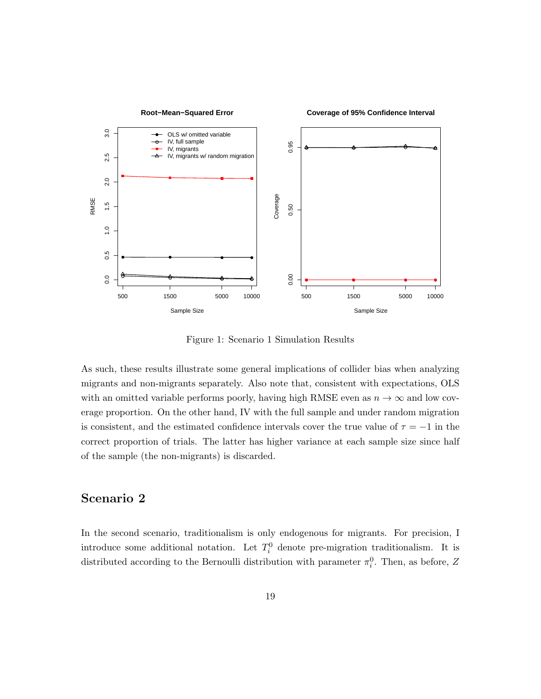

Figure 1: Scenario 1 Simulation Results

As such, these results illustrate some general implications of collider bias when analyzing migrants and non-migrants separately. Also note that, consistent with expectations, OLS with an omitted variable performs poorly, having high RMSE even as  $n \to \infty$  and low coverage proportion. On the other hand, IV with the full sample and under random migration is consistent, and the estimated confidence intervals cover the true value of  $\tau = -1$  in the correct proportion of trials. The latter has higher variance at each sample size since half of the sample (the non-migrants) is discarded.

# Scenario 2

In the second scenario, traditionalism is only endogenous for migrants. For precision, I introduce some additional notation. Let  $T_i^0$  denote pre-migration traditionalism. It is distributed according to the Bernoulli distribution with parameter  $\pi_i^0$ . Then, as before, Z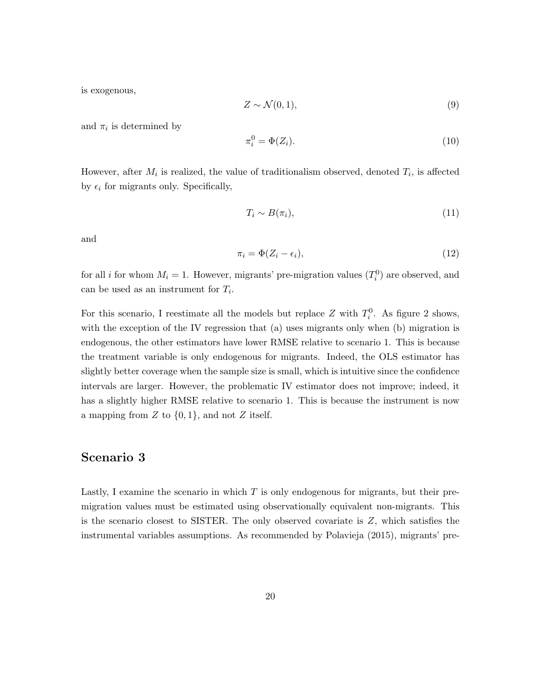is exogenous,

$$
Z \sim \mathcal{N}(0, 1),\tag{9}
$$

and  $\pi_i$  is determined by

$$
\pi_i^0 = \Phi(Z_i). \tag{10}
$$

However, after  $M_i$  is realized, the value of traditionalism observed, denoted  $T_i$ , is affected by  $\epsilon_i$  for migrants only. Specifically,

$$
T_i \sim B(\pi_i),\tag{11}
$$

and

$$
\pi_i = \Phi(Z_i - \epsilon_i),\tag{12}
$$

for all *i* for whom  $M_i = 1$ . However, migrants' pre-migration values  $(T_i^0)$  are observed, and can be used as an instrument for  $T_i$ .

For this scenario, I reestimate all the models but replace Z with  $T_i^0$ . As figure 2 shows, with the exception of the IV regression that (a) uses migrants only when (b) migration is endogenous, the other estimators have lower RMSE relative to scenario 1. This is because the treatment variable is only endogenous for migrants. Indeed, the OLS estimator has slightly better coverage when the sample size is small, which is intuitive since the confidence intervals are larger. However, the problematic IV estimator does not improve; indeed, it has a slightly higher RMSE relative to scenario 1. This is because the instrument is now a mapping from  $Z$  to  $\{0,1\}$ , and not  $Z$  itself.

# Scenario 3

Lastly, I examine the scenario in which  $T$  is only endogenous for migrants, but their premigration values must be estimated using observationally equivalent non-migrants. This is the scenario closest to SISTER. The only observed covariate is  $Z$ , which satisfies the instrumental variables assumptions. As recommended by Polavieja (2015), migrants' pre-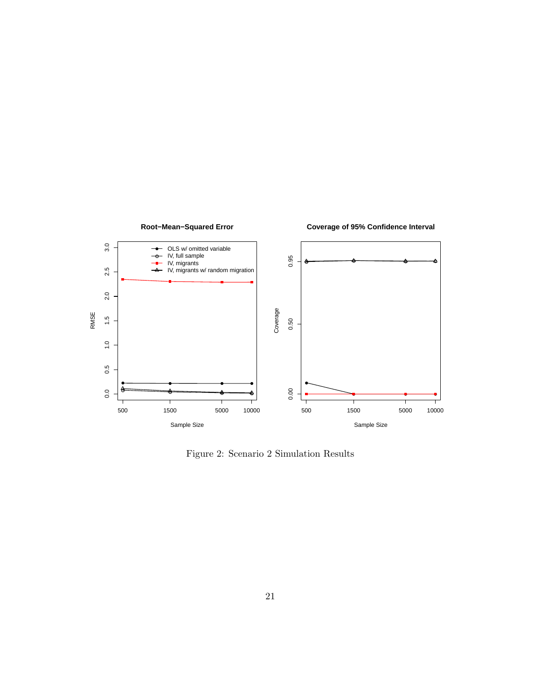

Figure 2: Scenario 2 Simulation Results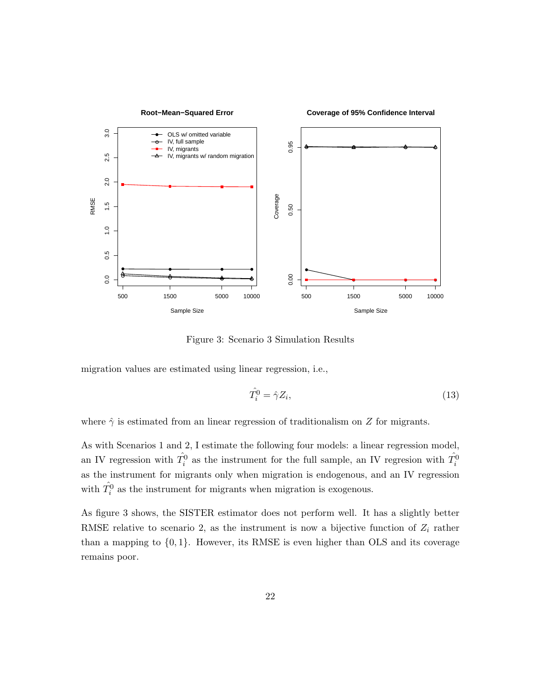

Figure 3: Scenario 3 Simulation Results

migration values are estimated using linear regression, i.e.,

$$
\hat{T}_i^0 = \hat{\gamma} Z_i,\tag{13}
$$

where  $\hat{\gamma}$  is estimated from an linear regression of traditionalism on Z for migrants.

As with Scenarios 1 and 2, I estimate the following four models: a linear regression model, an IV regression with  $\hat{T}_i^0$  as the instrument for the full sample, an IV regresion with  $\hat{T}_i^0$ as the instrument for migrants only when migration is endogenous, and an IV regression with  $\hat{T}_i^0$  as the instrument for migrants when migration is exogenous.

As figure 3 shows, the SISTER estimator does not perform well. It has a slightly better RMSE relative to scenario 2, as the instrument is now a bijective function of  $Z_i$  rather than a mapping to  $\{0, 1\}$ . However, its RMSE is even higher than OLS and its coverage remains poor.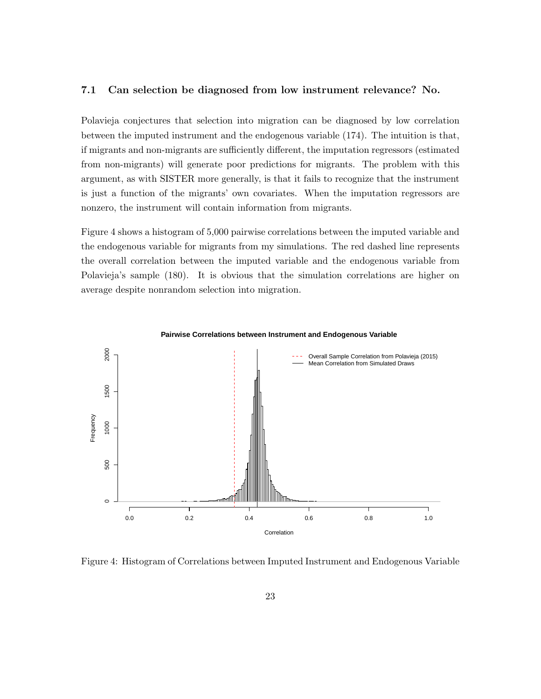#### 7.1 Can selection be diagnosed from low instrument relevance? No.

Polavieja conjectures that selection into migration can be diagnosed by low correlation between the imputed instrument and the endogenous variable (174). The intuition is that, if migrants and non-migrants are sufficiently different, the imputation regressors (estimated from non-migrants) will generate poor predictions for migrants. The problem with this argument, as with SISTER more generally, is that it fails to recognize that the instrument is just a function of the migrants' own covariates. When the imputation regressors are nonzero, the instrument will contain information from migrants.

Figure 4 shows a histogram of 5,000 pairwise correlations between the imputed variable and the endogenous variable for migrants from my simulations. The red dashed line represents the overall correlation between the imputed variable and the endogenous variable from Polavieja's sample (180). It is obvious that the simulation correlations are higher on average despite nonrandom selection into migration.



Figure 4: Histogram of Correlations between Imputed Instrument and Endogenous Variable